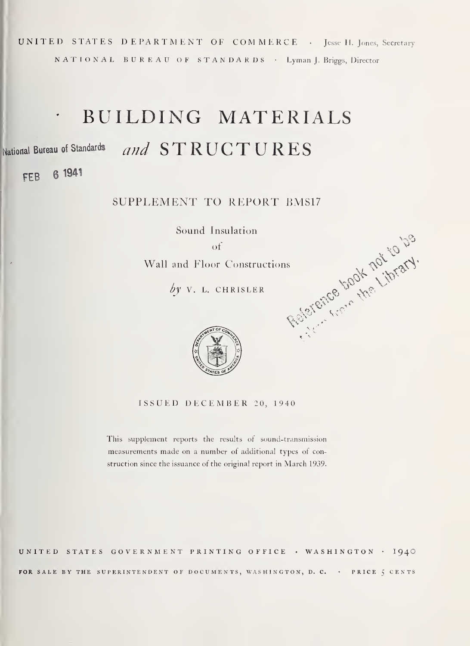# UNITED STATES DEPARTMENT OF COMMERCE • <sup>J</sup> esse H. Jones, Secretary NATIONAL BUREAU OF STANDARDS • Lyman J. Briggs, Director

# • BUILDING MATERIALS

# National Bureau of Standards *and* STRUCTURES

FEB 6 <sup>1941</sup>

#### SUPPLEMENT TO REPORT BMS17

Sound Insulation

of  ${}^{\circ}$   ${}^{\circ}$ 

Wall and Floor Constructions  $\mathcal{P}^{\mathcal{P}^*}$ 

 $by$  V. L. CHRISLER

 $\mathcal{L}^{\mathcal{A}}(\mathcal{E}_{\mathcal{A}})$ 



ISSUED DECEMBER 20, 1940

This supplement reports the results of sound-transmission measurements made on <sup>a</sup> number of additional types of construction since the issuance of the original report in March 1939.

UNITED STATES GOVERNMENT PRINTING OFFICE • WASHINGTON • <sup>I</sup> 94O FOR SALE BY THE SUPERINTENDENT OF DOCUMENTS, WASHINGTON, D. C. . PRICE 5 CENTS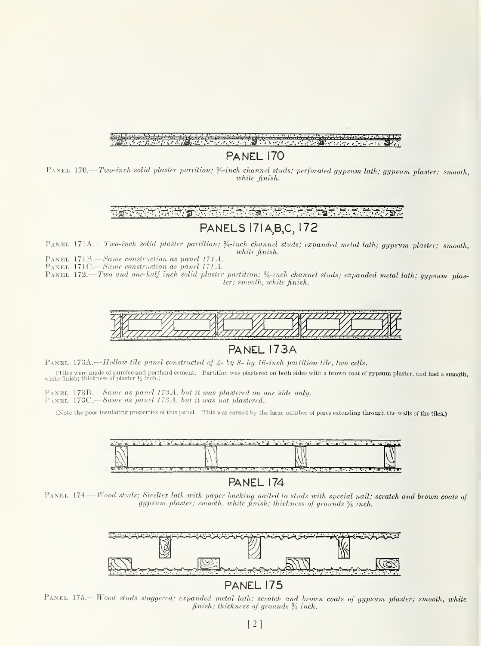

PANEL 170

PANEL 170.—Two-inch solid plaster partition; 3/4-inch channel studs; perforated gypsum lath; gypsum plaster; smooth, white finish.

网络海岸 计分配分析 计主编编程序 医骨状的

### PANELS i7IA,B,C, 172

PANEL 171A.—Two-inch solid plaster partition;  $\frac{3}{4}$ -inch channel studs; expanded metal lath; gypsum plaster; smooth, white finish.

- white finish.<br>PANEL 171B.—Same construction as panel 171A.
- PANEL 171C.—Same construction as panel 171A.

PANEL 172.—Two and one-half inch solid plaster partition;  $\frac{y}{4}$ -inch channel studs; expanded metal lath; gypsum, plaster; smooth, white finish.



PANEL 173A

PANEL 173A.—Hollow tile panel constructed of 4- by 8- by 16-inch partition tile, two cells.

(Tiles were made of pumice and portland cement. Partition was plastered on both sides with a brown coat of gypsum plaster, and had a smooth, white finish; thickness of plaster  $\frac{1}{2}$  inch.)

PANEL 173B.—Same as panel 173A, but it was plastered on one side only. PANEL 173C.—Same as panel 173A, but it was not plastered.

(Note the poor Insulating properties of this panel. This was caused by the large number of pores extending through the walls of the tiles.)



#### PANEL 174

PANEL 174.—Wood studs; Steeltex lath with paper backing nailed to studs with special nail; scratch and brown coats of gypsum plaster; smooth, white finish; thickness of grounds  $\frac{3}{4}$  inch.



#### PANEL 175

PANEL 175.—Wood studs staggered; expanded metal lath; scratch and brown coats of gypsum plaster; smooth, white finish; thickness of grounds  $\frac{3}{4}$  inch.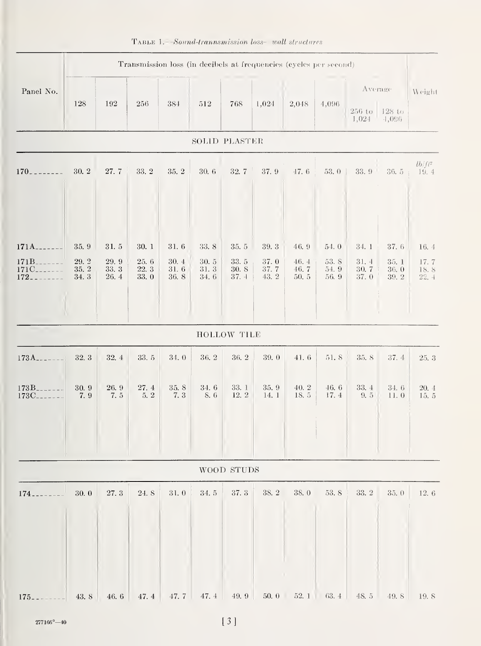|                                               | Transmission loss (in decibels at frequencies (cycles per second) |                          |                      |                      |                          |                      |                      |                      |                      |                                                  |                          |                      |  |
|-----------------------------------------------|-------------------------------------------------------------------|--------------------------|----------------------|----------------------|--------------------------|----------------------|----------------------|----------------------|----------------------|--------------------------------------------------|--------------------------|----------------------|--|
| Panel No.                                     |                                                                   |                          |                      |                      |                          |                      |                      |                      |                      | $\Lambda{\rm v}\mathrm{c}\mathrm{r}\mathrm{age}$ |                          | Weight.              |  |
|                                               | 128                                                               | 192                      | $256\,$              | 384                  | $512\,$                  | $768\,$              | 1,024                | 2,048                | 4,096                | $256$ to<br>1,024                                | 128t<br>$-1,096$         |                      |  |
|                                               |                                                                   |                          |                      |                      | SOLID PLASTER            |                      |                      |                      |                      |                                                  |                          |                      |  |
|                                               | $30.\,2$                                                          | 27.7                     | $33,\,2$             | 35.2                 | 30.6                     | 32.7                 | 37.9                 | 47.6                 | 53.0                 | 33.9                                             | $36.5 +$                 | $lb/fl^2$<br>19.4    |  |
| $171A_{--}$                                   | $35.\,9$                                                          | 31.5                     | 30.1                 | 31.6                 | 33.8                     | 35.5                 | 39.3                 | 46.9                 | 54.0                 | 34.1                                             | 37.6                     | 16.4                 |  |
| $171B_-$<br>171C <sub>--</sub><br>$172 - - -$ | $\begin{array}{c} 29.2 \\ 35.2 \end{array}$<br>34.3               | 29.9<br>$33.\,3$<br>26.4 | 25.6<br>22.3<br>33.0 | 30.4<br>31.6<br>36.8 | $30.\,5$<br>31.3<br>34.6 | 33.5<br>30.8<br>37.4 | 37.0<br>37.7<br>43.2 | 46.4<br>46.7<br>50.5 | 53.8<br>54.9<br>56.9 | 31.4<br>30.7<br>37.0                             | 35.1<br>36.0<br>$39.\ 2$ | 17.7<br>18.8<br>22.4 |  |
|                                               |                                                                   |                          |                      |                      |                          | <b>HOLLOW TILE</b>   |                      |                      |                      |                                                  |                          |                      |  |
| $173A$ <sub>------</sub>                      | $32.\,3$                                                          | 32.4                     | 33.5                 | 34.0                 | $36.\ 2$                 | 36.2                 | 39.0                 | 41.6                 | $51.\,8$             | $35.\,8$                                         | 37.4                     | 25.3                 |  |
| 173B_<br>$173C_{---}$                         | 30.9<br>7.9                                                       | $26.\,\,9$<br>7.5        | 27.4<br>$5. \; 2$    | 35.8<br>7.3          | 34.6<br>8.6              | 33.1<br>12.2         | 35.9<br>14.1         | 40.2<br>18.5         | 46.6<br>17.4         | 33.4<br>9, 5                                     | 34.6<br>11.0             | 20.4<br>15.5         |  |
|                                               |                                                                   |                          |                      |                      |                          |                      |                      |                      |                      |                                                  |                          |                      |  |
|                                               |                                                                   |                          |                      |                      |                          | WOOD STUDS           |                      |                      |                      |                                                  |                          |                      |  |
| $174$ -------                                 | $30.\ 0$                                                          | $27.\,\,3$               | $24.\,\, 8$          | $31.\;0$             | $34.\,5$                 | $37.\,3$             | $38.\ 2$             | $38.\,\,0$           | $53.\,8$             | $33.\ 2$                                         | 35.0                     | $12.\,\,6$           |  |
| $175 - -$                                     | 43.8                                                              | 46.6                     |                      |                      | 47. 4 47. 7 47. 4 49. 9  |                      |                      | $50.0$ $52.1$ $63.4$ |                      |                                                  | 48.5 49.8                | 19.8                 |  |

TABLE 1. -Sound-trannsmission loss- wall structures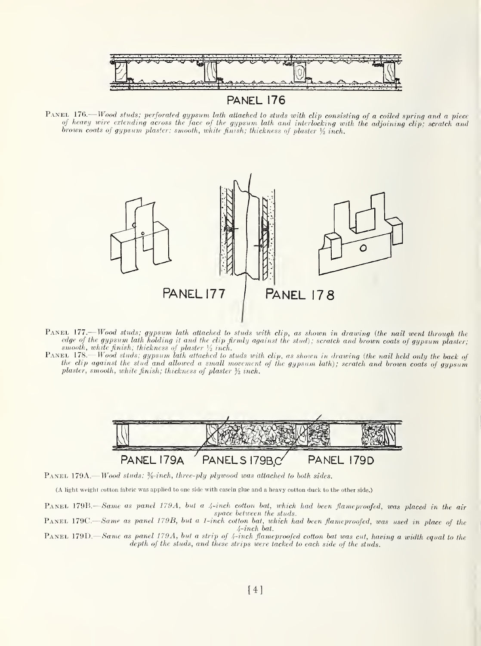

#### PANEL 176

PANEL 176.—Wood studs; perforated gypsum lath attached to studs with clip consisting of a coiled spring and a piece of heavy wire extending across the face of the gypsum lath and interlocking with the adjoining clip: scratch and brown coats of gypsum plaster; smooth, white finish; thickness of plaster  $\frac{1}{2}$  inch.



- PANEL 177.—Wood studs; gypsum lath attached to studs with clip, as shown in drawing (the nail went through the edge of the gypsum lath holding it and the clip firmly against the stud); scratch and brown coats of gypsum pl
- the clip against the stud and allowed a small movement of the gypsum lath); scratch and brown coats of gypsum plaster, smooth, white finish; thickness of plaster  $\frac{1}{2}$  inch.



PANEL 179A.—Wood studs;  $\frac{3}{2}$ inch, three-ply plywood was attached to both sides.

(A light weight cotton fabric was applied to one side with casein glue and a heavy cotton duck to the other side.)

Panel 179B.—Same as panel 179A, but a 4-inch cotton bat, which had been flameproofed, was placed in the air space between the studs.

Panel 179C. Same as panel 179B, but <sup>a</sup> 1-inch cotton bat, which had been flameproofed, was used in place of the 4-inch bat.

Panel 179D.—Same as panel 179A, but a strip of 4-inch flameproofed cotton bat was cut, having a width equal to the depth of the studs, and these strips were tacked to each side of the studs.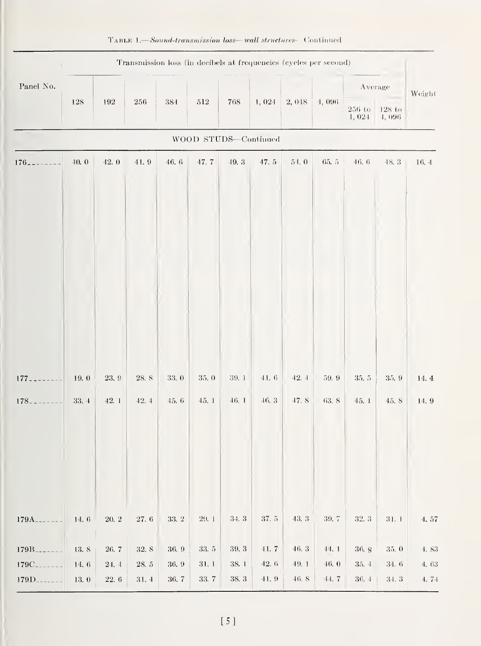|                        | Transmission loss (in decibels at frequencies (cycles per second) |             |             |            |          |            |            |            |             |                              |                             |          |
|------------------------|-------------------------------------------------------------------|-------------|-------------|------------|----------|------------|------------|------------|-------------|------------------------------|-----------------------------|----------|
| Panel No.              |                                                                   | $192\,$     |             |            | $512\,$  | $768\,$    | 1,024      | 2,048      |             | Average                      |                             | Weight   |
|                        | $128\,$                                                           |             | $256\,$     | $384\,$    |          |            |            |            | 4,096       | $256\,\,{\rm to}\,$<br>1,024 | $128\ \mathrm{to}$<br>4,096 |          |
| WOOD STUDS-Continued   |                                                                   |             |             |            |          |            |            |            |             |                              |                             |          |
| $176 - - - - - - - -$  | 40.0                                                              | 42.0        | $41.\,\, 9$ | $46. \; 6$ | 47.7     | 49.3       | 47.5       | $54. \;0$  | $65,\,5$    | 46.6                         | 48.3                        | $16.4\,$ |
|                        |                                                                   |             |             |            |          |            |            |            |             |                              |                             |          |
|                        |                                                                   |             |             |            |          |            |            |            |             |                              |                             |          |
|                        |                                                                   |             |             |            |          |            |            |            |             |                              |                             |          |
|                        |                                                                   |             |             |            |          |            |            |            |             |                              |                             |          |
|                        |                                                                   |             |             |            |          |            |            |            |             |                              |                             |          |
|                        |                                                                   |             |             |            |          |            |            |            |             |                              |                             |          |
|                        |                                                                   |             |             |            |          |            |            |            |             |                              |                             |          |
|                        |                                                                   |             |             |            |          |            |            |            |             |                              |                             |          |
| $177 - -$              | $19. \; 0$                                                        | 23.9        | $28.\ 8$    | 33.0       | 35.0     | 39.1       | $41. \ 6$  | 42.4       | $59. \ 9$   | 35.5                         | 35.9                        | 14.4     |
| $178 - - -$            | $33. \ 4$                                                         | 42.1        | 42.4        | $45. \; 6$ | 45.1     | 46.1       | 46.3       | 47.8       | $63.\,\, 8$ | 45.1                         | 45.8                        | 14.9     |
|                        |                                                                   |             |             |            |          |            |            |            |             |                              |                             |          |
|                        |                                                                   |             |             |            |          |            |            |            |             |                              |                             |          |
|                        |                                                                   |             |             |            |          |            |            |            |             |                              |                             |          |
|                        |                                                                   |             |             |            |          |            |            |            |             |                              |                             |          |
|                        |                                                                   |             |             |            |          |            |            |            |             |                              |                             |          |
| $179A$ ------          | $14. \ 6$                                                         | $20.\ 2$    | 27.6        | $33.\ 2$   | 29.1     | $34.\,\,3$ | 37.5       | 43.3       | $39,\,7$    | $32.\,\,3$                   | 31.1                        | 4. $57$  |
| $179B$ <sub>----</sub> | $13. \ 8$                                                         | $26.\ 7$    | $32.\,8$    | $36.\,9$   | $33.\,5$ | $39.\,\,3$ | 41.7       | 46.3       | 44.1        | 36.8                         | $35. \;0$                   | 4.83     |
| $179C_{---}$           | $14. \; 6$                                                        | $24. \ 4$   | $28.\ 5$    | $36.\,9$   | $31.\;1$ | $38. \;1$  | $42.\,\,6$ | $49. \; 1$ | 46.0        | 35.4                         | $34. \ 6$                   | 4.63     |
| $179D$ ------          | $13. \; 0$                                                        | $22.\,$ $6$ | $31.\;4$    | $36.\ 7$   | 33.7     | $38.\,3$   | $41,\,9$   | $46. \$    | 44.7        | $36,\,4$                     | 34.3                        | 4.74     |

## TABLE 1.—Sound-transmission loss—wall structures- Continued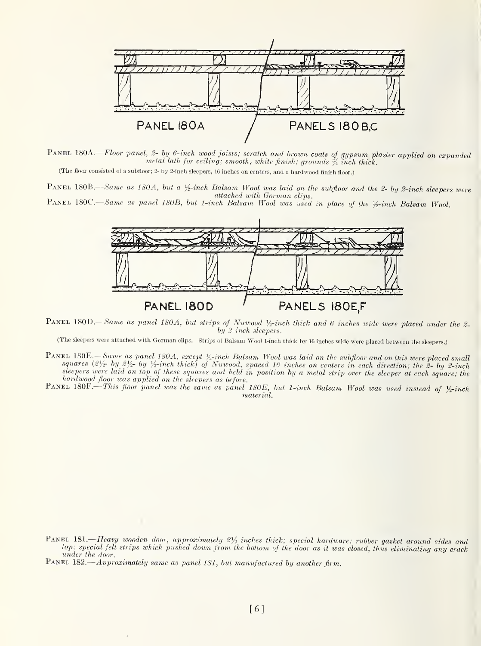

PANEL 180A.—Floor panel, 2- by 6-inch wood joists; scratch and brown coats of gypsum plaster applied on expanded metal lath for ceiling; smooth, white finish; grounds % inch thick.

(The floor consisted of <sup>a</sup> subfloor; 2- by 2-inch sleepers, <sup>16</sup> inches on centers, and <sup>a</sup> hardwood finish floor.)

PANEL 180B.—Same as 180A, but a ½-inch Balsam Wool was laid on the subfloor and the 2- by 2-inch sleepers were attached with Gorman clips. Panel 180C. Same as panel 180B, but 1-inch Balsam Wool was used in place of the Yo-inch Balsam Wool.



**P**ANEL 180D.—Same as panel 180A, but strips of Nuwood ½-inch thick and 6 inches wide were placed under the 2 $by$  2-inch sleepers.

(The sleepers were attached with Gorman clips. Strips of Balsam Wool 1-inch thick by <sup>16</sup> inches wide were placed between the sleepers.)

PANEL 180E. Same as panel 180A, except 1/2-inch Balsam Wool was laid on the subfloor and on this were placed small squares  $(2\frac{1}{2}$ - by  $2\frac{1}{2}$ - by  $\frac{1}{2}$ -inch thick) of Nuwood, spaced 16 inches on centers in each direction; the 2- by 2-inch sleepers were laid on top of these squares and held in position by a metal strip over sleepers were laid on top of these squares and held in position by a metal strip over the sleeper at each square; the<br>hardwood floor was applied on the sleepers as before.<br>PANEL 180F.—This floor panel was the same as panel

This floor panel was the same as panel 180E, but 1-inch Balsam Wool was used instead of  $\frac{1}{2}$ -inch material.

PANEL 181.—Heavy wooden door, approximately  $2\frac{1}{2}$  inches thick; special hardware; rubber gasket around sides and top; special felt strips which pushed down from the bottom of the door as it was closed, thus eliminating any crack<br>under the door.

PANEL 182.—Approximately same as panel 181, but manufactured by another firm.